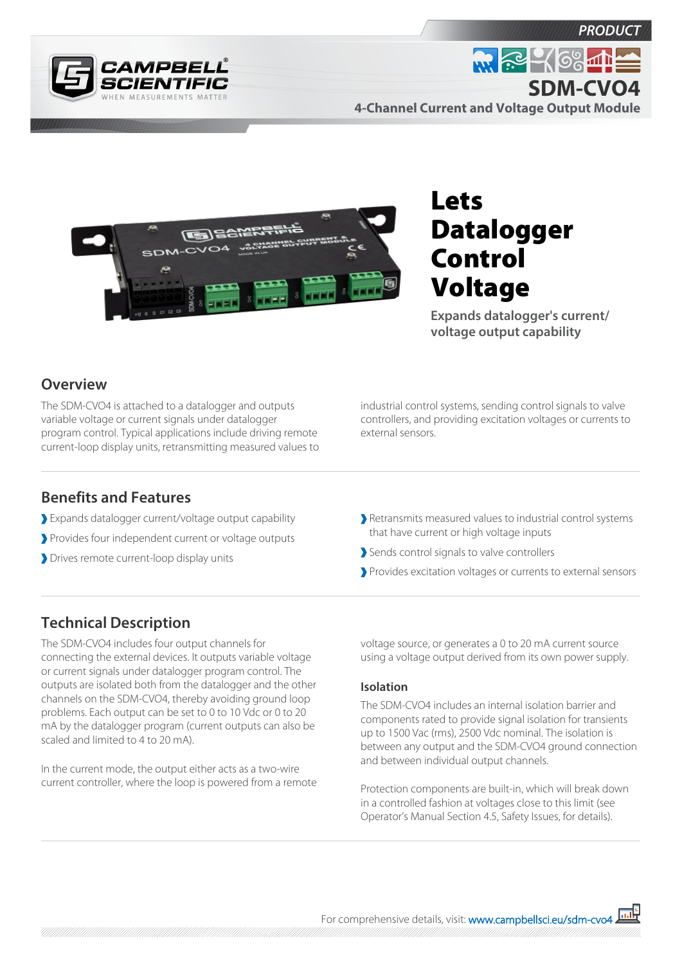



**W. R. 468 11 SDM-CVO44-Channel Current and Voltage Output Module**



# Lets Datalogger Control Voltage

**Expands datalogger's current/ voltage output capability**

#### **Overview**

The SDM-CVO4 is attached to a datalogger and outputs variable voltage or current signals under datalogger program control. Typical applications include driving remote current-loop display units, retransmitting measured values to industrial control systems, sending control signals to valve controllers, and providing excitation voltages or currents to external sensors.

#### **Benefits and Features**

- Expands datalogger current/voltage output capability
- Provides four independent current or voltage outputs
- Drives remote current-loop display units

Retransmits measured values to industrial control systems that have current or high voltage inputs

- Sends control signals to valve controllers
- Provides excitation voltages or currents to external sensors

### **Technical Description**

The SDM-CVO4 includes four output channels for connecting the external devices. It outputs variable voltage or current signals under datalogger program control. The outputs are isolated both from the datalogger and the other channels on the SDM-CVO4, thereby avoiding ground loop problems. Each output can be set to 0 to 10 Vdc or 0 to 20 mA by the datalogger program (current outputs can also be scaled and limited to 4 to 20 mA).

In the current mode, the output either acts as a two-wire current controller, where the loop is powered from a remote voltage source, or generates a 0 to 20 mA current source using a voltage output derived from its own power supply.

#### **Isolation**

The SDM-CVO4 includes an internal isolation barrier and components rated to provide signal isolation for transients up to 1500 Vac (rms), 2500 Vdc nominal. The isolation is between any output and the SDM-CVO4 ground connection and between individual output channels.

Protection components are built-in, which will break down in a controlled fashion at voltages close to this limit (see Operator's Manual Section 4.5, Safety Issues, for details).